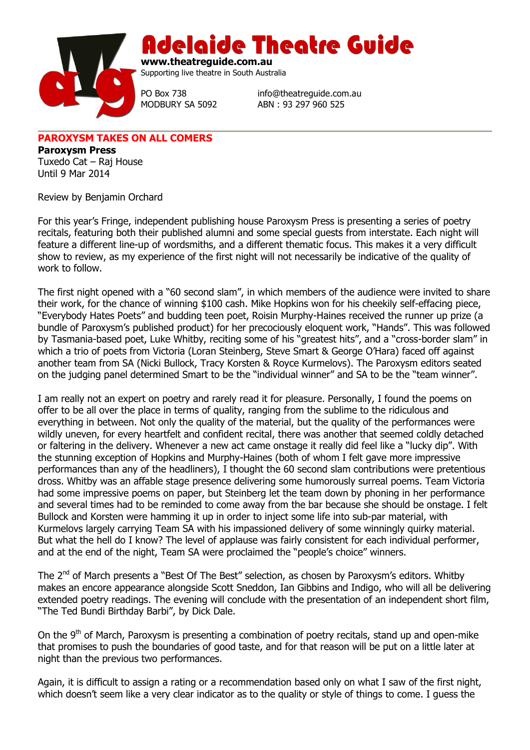

Adelaide Theatre Guide

**www.theatreguide.com.au** Supporting live theatre in South Australia

PO Box 738 info@theatreguide.com.au MODBURY SA 5092 ABN : 93 297 960 525

**PAROXYSM TAKES ON ALL COMERS**

**Paroxysm Press** Tuxedo Cat – Raj House Until 9 Mar 2014

Review by Benjamin Orchard

For this year's Fringe, independent publishing house Paroxysm Press is presenting a series of poetry recitals, featuring both their published alumni and some special guests from interstate. Each night will feature a different line-up of wordsmiths, and a different thematic focus. This makes it a very difficult show to review, as my experience of the first night will not necessarily be indicative of the quality of work to follow.

The first night opened with a "60 second slam", in which members of the audience were invited to share their work, for the chance of winning \$100 cash. Mike Hopkins won for his cheekily self-effacing piece, "Everybody Hates Poets" and budding teen poet, Roisin Murphy-Haines received the runner up prize (a bundle of Paroxysm's published product) for her precociously eloquent work, "Hands". This was followed by Tasmania-based poet, Luke Whitby, reciting some of his "greatest hits", and a "cross-border slam" in which a trio of poets from Victoria (Loran Steinberg, Steve Smart & George O'Hara) faced off against another team from SA (Nicki Bullock, Tracy Korsten & Royce Kurmelovs). The Paroxysm editors seated on the judging panel determined Smart to be the "individual winner" and SA to be the "team winner".

I am really not an expert on poetry and rarely read it for pleasure. Personally, I found the poems on offer to be all over the place in terms of quality, ranging from the sublime to the ridiculous and everything in between. Not only the quality of the material, but the quality of the performances were wildly uneven, for every heartfelt and confident recital, there was another that seemed coldly detached or faltering in the delivery. Whenever a new act came onstage it really did feel like a "lucky dip". With the stunning exception of Hopkins and Murphy-Haines (both of whom I felt gave more impressive performances than any of the headliners), I thought the 60 second slam contributions were pretentious dross. Whitby was an affable stage presence delivering some humorously surreal poems. Team Victoria had some impressive poems on paper, but Steinberg let the team down by phoning in her performance and several times had to be reminded to come away from the bar because she should be onstage. I felt Bullock and Korsten were hamming it up in order to inject some life into sub-par material, with Kurmelovs largely carrying Team SA with his impassioned delivery of some winningly quirky material. But what the hell do I know? The level of applause was fairly consistent for each individual performer, and at the end of the night, Team SA were proclaimed the "people's choice" winners.

The 2<sup>nd</sup> of March presents a "Best Of The Best" selection, as chosen by Paroxysm's editors. Whitby makes an encore appearance alongside Scott Sneddon, Ian Gibbins and Indigo, who will all be delivering extended poetry readings. The evening will conclude with the presentation of an independent short film, "The Ted Bundi Birthday Barbi", by Dick Dale.

On the  $9<sup>th</sup>$  of March, Paroxysm is presenting a combination of poetry recitals, stand up and open-mike that promises to push the boundaries of good taste, and for that reason will be put on a little later at night than the previous two performances.

Again, it is difficult to assign a rating or a recommendation based only on what I saw of the first night, which doesn't seem like a very clear indicator as to the quality or style of things to come. I guess the